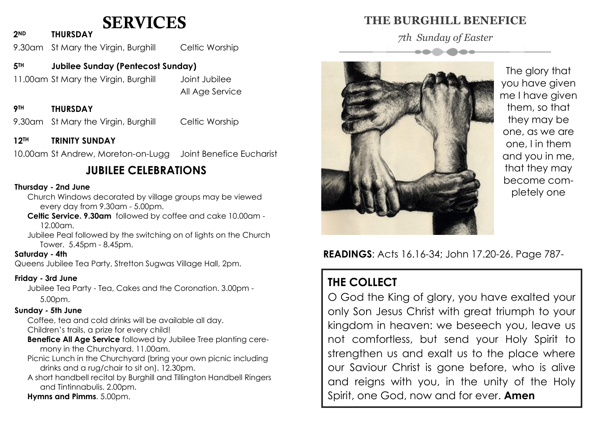## SERVICES

**2ND THURSDAY**

9.30am St Mary the Virgin, Burghill Celtic Worship

### **5TH Jubilee Sunday (Pentecost Sunday)**

11.00am St Mary the Virgin, Burghill Joint Jubilee

All Age Service

#### **9TH THURSDAY**

9.30am St Mary the Virgin, Burghill Celtic Worship

#### **12TH TRINITY SUNDAY**

10.00am St Andrew, Moreton-on-Lugg Joint Benefice Eucharist

## **JUBILEE CELEBRATIONS**

#### **Thursday - 2nd June**

Church Windows decorated by village groups may be viewed every day from 9.30am - 5.00pm.

**Celtic Service. 9.30am** followed by coffee and cake 10.00am - 12.00am.

Jubilee Peal followed by the switching on of lights on the Church Tower. 5.45pm - 8.45pm.

#### **Saturday - 4th**

Queens Jubilee Tea Party, Stretton Sugwas Village Hall, 2pm.

#### **Friday - 3rd June**

Jubilee Tea Party - Tea, Cakes and the Coronation. 3.00pm - 5.00pm.

#### **Sunday - 5th June**

Coffee, tea and cold drinks will be available all day. Children's trails, a prize for every child!

- **Benefice All Age Service** followed by Jubilee Tree planting ceremony in the Churchyard. 11.00am.
- Picnic Lunch in the Churchyard (bring your own picnic including drinks and a rug/chair to sit on). 12.30pm.
- A short handbell recital by Burghill and Tillington Handbell Ringers and Tintinnabulis. 2.00pm.
- **Hymns and Pimms**. 5.00pm.

### **THE BURGHILL BENEFICE**

*7th Sunday of Easter*



The glory that you have given me I have given them, so that they may be one, as we are one, I in them and you in me, that they may become completely one

**READINGS**: Acts 16.16-34; John 17.20-26. Page 787-

## **THE COLLECT**

O God the King of glory, you have exalted your only Son Jesus Christ with great triumph to your kingdom in heaven: we beseech you, leave us not comfortless, but send your Holy Spirit to strengthen us and exalt us to the place where our Saviour Christ is gone before, who is alive and reigns with you, in the unity of the Holy Spirit, one God, now and for ever. **Amen**